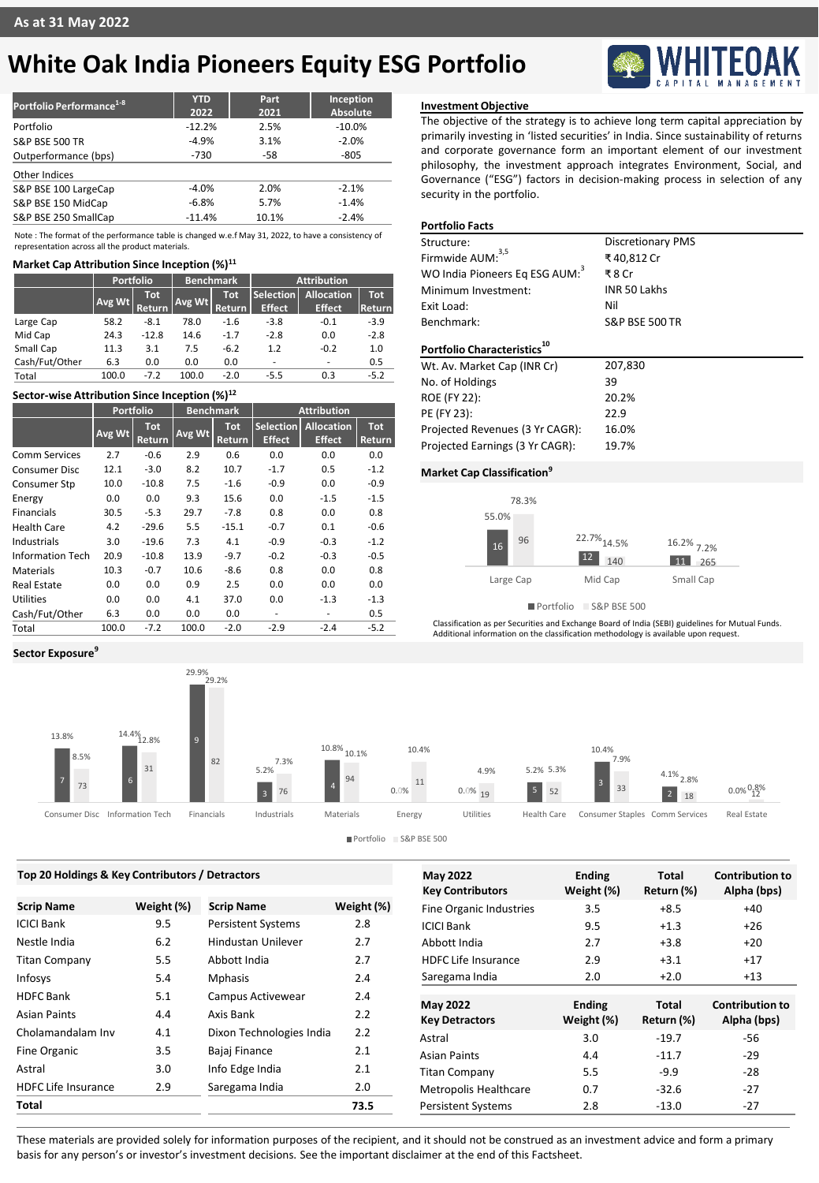## **White Oak India Pioneers Equity ESG Portfolio**

| Portfolio Performance <sup>1-8</sup> | <b>YTD</b><br>2022 | Part<br>2021 | Inception<br>Absolute |
|--------------------------------------|--------------------|--------------|-----------------------|
| Portfolio                            | $-12.2%$           | 2.5%         | $-10.0%$              |
| <b>S&amp;P BSE 500 TR</b>            | $-4.9%$            | 3.1%         | $-2.0%$               |
| Outperformance (bps)                 | $-730$             | $-58$        | $-805$                |
| Other Indices                        |                    |              |                       |
| S&P BSE 100 LargeCap                 | $-4.0%$            | 2.0%         | $-2.1%$               |
| S&P BSE 150 MidCap                   | $-6.8%$            | 5.7%         | $-1.4%$               |
| S&P BSE 250 SmallCap                 | $-11.4%$           | 10.1%        | $-2.4%$               |

Note : The format of the performance table is changed w.e.f May 31, 2022, to have a consistency of representation across all the product materials.

### **Market Cap Attribution Since Inception (%)<sup>11</sup>**

|                | Portfolio |                             | <b>Benchmark</b> |                             | <b>Attribution</b>                |                                    |                      |
|----------------|-----------|-----------------------------|------------------|-----------------------------|-----------------------------------|------------------------------------|----------------------|
|                | Avg Wt    | <b>Tot</b><br><b>Return</b> | Avg Wt           | <b>Tot</b><br><b>Return</b> | <b>Selection</b><br><b>Effect</b> | <b>Allocation</b><br><b>Effect</b> | <b>Tot</b><br>Return |
| Large Cap      | 58.2      | $-8.1$                      | 78.0             | $-1.6$                      | $-3.8$                            | $-0.1$                             | $-3.9$               |
| Mid Cap        | 24.3      | $-12.8$                     | 14.6             | $-1.7$                      | $-2.8$                            | 0.0                                | $-2.8$               |
| Small Cap      | 11.3      | 3.1                         | 7.5              | $-6.2$                      | 1.2                               | $-0.2$                             | 1.0                  |
| Cash/Fut/Other | 6.3       | 0.0                         | 0.0              | 0.0                         | -                                 | -                                  | 0.5                  |
| Total          | 100.0     | $-7.2$                      | 100.0            | $-2.0$                      | $-5.5$                            | 0.3                                | $-5.2$               |

### **Sector-wise Attribution Since Inception (%)<sup>12</sup>**

|                         | <b>Portfolio</b> |                      | <b>Benchmark</b> |                      | <b>Attribution</b>         |                                    |                      |
|-------------------------|------------------|----------------------|------------------|----------------------|----------------------------|------------------------------------|----------------------|
|                         | Avg Wt           | <b>Tot</b><br>Return | Avg Wt           | <b>Tot</b><br>Return | Selection<br><b>Effect</b> | <b>Allocation</b><br><b>Effect</b> | <b>Tot</b><br>Return |
| <b>Comm Services</b>    | 2.7              | $-0.6$               | 2.9              | 0.6                  | 0.0                        | 0.0                                | 0.0                  |
| <b>Consumer Disc</b>    | 12.1             | $-3.0$               | 8.2              | 10.7                 | $-1.7$                     | 0.5                                | $-1.2$               |
| Consumer Stp            | 10.0             | $-10.8$              | 7.5              | $-1.6$               | $-0.9$                     | 0.0                                | $-0.9$               |
| Energy                  | 0.0              | 0.0                  | 9.3              | 15.6                 | 0.0                        | $-1.5$                             | $-1.5$               |
| <b>Financials</b>       | 30.5             | $-5.3$               | 29.7             | $-7.8$               | 0.8                        | 0.0                                | 0.8                  |
| <b>Health Care</b>      | 4.2              | $-29.6$              | 5.5              | $-15.1$              | $-0.7$                     | 0.1                                | $-0.6$               |
| Industrials             | 3.0              | $-19.6$              | 7.3              | 4.1                  | $-0.9$                     | $-0.3$                             | $-1.2$               |
| <b>Information Tech</b> | 20.9             | $-10.8$              | 13.9             | $-9.7$               | $-0.2$                     | $-0.3$                             | $-0.5$               |
| <b>Materials</b>        | 10.3             | $-0.7$               | 10.6             | $-8.6$               | 0.8                        | 0.0                                | 0.8                  |
| <b>Real Estate</b>      | 0.0              | 0.0                  | 0.9              | 2.5                  | 0.0                        | 0.0                                | 0.0                  |
| <b>Utilities</b>        | 0.0              | 0.0                  | 4.1              | 37.0                 | 0.0                        | $-1.3$                             | $-1.3$               |
| Cash/Fut/Other          | 6.3              | 0.0                  | 0.0              | 0.0                  | ۰                          |                                    | 0.5                  |
| Total                   | 100.0            | $-7.2$               | 100.0            | $-2.0$               | $-2.9$                     | $-2.4$                             | $-5.2$               |

**Sector Exposure<sup>9</sup>**



Portfolio S&P BSE 500

| Top 20 Holdings & Key Contributors / Detractors |            |                           | <b>May 2022</b> | <b>Ending</b>                                      | Total                       | <b>Contribution to</b>     |                                       |
|-------------------------------------------------|------------|---------------------------|-----------------|----------------------------------------------------|-----------------------------|----------------------------|---------------------------------------|
| <b>Scrip Name</b>                               | Weight (%) | <b>Scrip Name</b>         | Weight (%)      | <b>Key Contributors</b><br>Fine Organic Industries | Weight (%)<br>3.5           | Return (%)<br>$+8.5$       | Alpha (bps)<br>$+40$                  |
| <b>ICICI Bank</b>                               | 9.5        | <b>Persistent Systems</b> | 2.8             | <b>ICICI Bank</b>                                  | 9.5                         | $+1.3$                     | $+26$                                 |
| Nestle India                                    | 6.2        | Hindustan Unilever        | 2.7             | Abbott India                                       | 2.7                         | $+3.8$                     | $+20$                                 |
| <b>Titan Company</b>                            | 5.5        | Abbott India              | 2.7             | <b>HDFC Life Insurance</b>                         | 2.9                         | $+3.1$                     | $+17$                                 |
| Infosys                                         | 5.4        | <b>Mphasis</b>            | 2.4             | Saregama India                                     | 2.0                         | $+2.0$                     | $+13$                                 |
| <b>HDFC Bank</b>                                | 5.1        | Campus Activewear         | 2.4             |                                                    |                             |                            |                                       |
| Asian Paints                                    | 4.4        | Axis Bank                 | 2.2             | <b>May 2022</b><br><b>Key Detractors</b>           | <b>Ending</b><br>Weight (%) | <b>Total</b><br>Return (%) | <b>Contribution to</b><br>Alpha (bps) |
| Cholamandalam Inv                               | 4.1        | Dixon Technologies India  | 2.2             | Astral                                             | 3.0                         | $-19.7$                    | $-56$                                 |
| Fine Organic                                    | 3.5        | Bajaj Finance             | 2.1             | <b>Asian Paints</b>                                | 4.4                         | $-11.7$                    | $-29$                                 |
| Astral                                          | 3.0        | Info Edge India           | 2.1             | <b>Titan Company</b>                               | 5.5                         | $-9.9$                     | $-28$                                 |
| <b>HDFC Life Insurance</b>                      | 2.9        | Saregama India            | 2.0             | <b>Metropolis Healthcare</b>                       | 0.7                         | $-32.6$                    | $-27$                                 |
| Total                                           |            |                           | 73.5            | <b>Persistent Systems</b>                          | 2.8                         | $-13.0$                    | $-27$                                 |

**Investment Objective**

The objective of the strategy is to achieve long term capital appreciation by primarily investing in 'listed securities' in India. Since sustainability of returns and corporate governance form an important element of our investment philosophy, the investment approach integrates Environment, Social, and Governance ("ESG") factors in decision-making process in selection of any security in the portfolio.

### **Portfolio Facts**

| Structure:                                 | <b>Discretionary PMS</b>  |
|--------------------------------------------|---------------------------|
| Firmwide AUM: <sup>3,5</sup>               | ₹40.812 Cr                |
| WO India Pioneers Eq ESG AUM: <sup>3</sup> | ₹8 Cr                     |
| Minimum Investment:                        | INR 50 Lakhs              |
| Exit Load:                                 | Nil                       |
| Benchmark:                                 | <b>S&amp;P BSE 500 TR</b> |
| Portfolio Characteristics                  |                           |
| Wt. Av. Market Cap (INR Cr)                | 207,830                   |
| No. of Holdings                            | 39                        |
| <b>ROE (FY 22):</b>                        | 20.2%                     |
| PE (FY 23):                                | 22.9                      |
|                                            |                           |
| Projected Revenues (3 Yr CAGR):            | 16.0%                     |

### **Market Cap Classification<sup>9</sup>**



Portfolio S&P BSE 500

Classification as per Securities and Exchange Board of India (SEBI) guidelines for Mutual Funds. Additional information on the classification methodology is available upon request.

These materials are provided solely for information purposes of the recipient, and it should not be construed as an investment advice and form a primary basis for any person's or investor's investment decisions. See the important disclaimer at the end of this Factsheet.